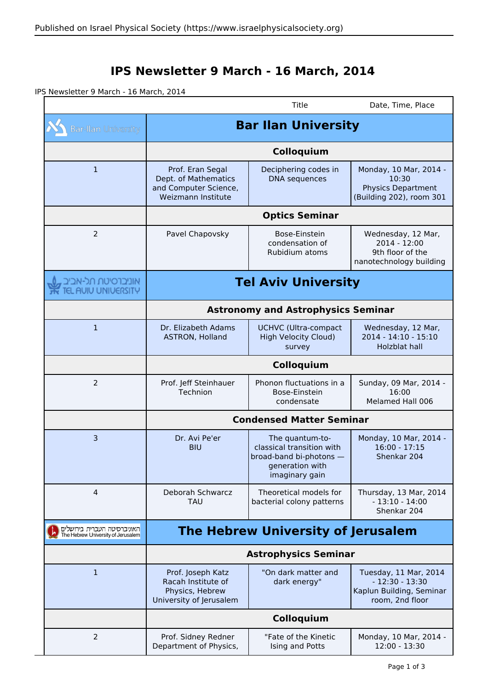## **IPS Newsletter 9 March - 16 March, 2014**

IPS Newsletter 9 March - 16 March, 2014

|                                                                   |                                                                                         | Title                                                                                                        | Date, Time, Place                                                                        |  |
|-------------------------------------------------------------------|-----------------------------------------------------------------------------------------|--------------------------------------------------------------------------------------------------------------|------------------------------------------------------------------------------------------|--|
| <b>Bar-Ilan University</b>                                        | <b>Bar Ilan University</b>                                                              |                                                                                                              |                                                                                          |  |
|                                                                   | Colloquium                                                                              |                                                                                                              |                                                                                          |  |
| $\mathbf{1}$                                                      | Prof. Eran Segal<br>Dept. of Mathematics<br>and Computer Science,<br>Weizmann Institute | Deciphering codes in<br><b>DNA</b> sequences                                                                 | Monday, 10 Mar, 2014 -<br>10:30<br><b>Physics Department</b><br>(Building 202), room 301 |  |
|                                                                   | <b>Optics Seminar</b>                                                                   |                                                                                                              |                                                                                          |  |
| $\overline{2}$                                                    | Pavel Chapovsky                                                                         | Bose-Einstein<br>condensation of<br>Rubidium atoms                                                           | Wednesday, 12 Mar,<br>2014 - 12:00<br>9th floor of the<br>nanotechnology building        |  |
| אוניברסיטת תל-אב<br>L AVIV UNIVERSITY                             | <b>Tel Aviv University</b>                                                              |                                                                                                              |                                                                                          |  |
|                                                                   | <b>Astronomy and Astrophysics Seminar</b>                                               |                                                                                                              |                                                                                          |  |
| $\mathbf{1}$                                                      | Dr. Elizabeth Adams<br>ASTRON, Holland                                                  | <b>UCHVC</b> (Ultra-compact<br>High Velocity Cloud)<br>survey                                                | Wednesday, 12 Mar,<br>2014 - 14:10 - 15:10<br>Holzblat hall                              |  |
|                                                                   | Colloquium                                                                              |                                                                                                              |                                                                                          |  |
| 2                                                                 | Prof. Jeff Steinhauer<br>Technion                                                       | Phonon fluctuations in a<br>Bose-Einstein<br>condensate                                                      | Sunday, 09 Mar, 2014 -<br>16:00<br>Melamed Hall 006                                      |  |
|                                                                   | <b>Condensed Matter Seminar</b>                                                         |                                                                                                              |                                                                                          |  |
| 3                                                                 | Dr. Avi Pe'er<br><b>BIU</b>                                                             | The quantum-to-<br>classical transition with<br>broad-band bi-photons -<br>generation with<br>imaginary gain | Monday, 10 Mar, 2014 -<br>$16:00 - 17:15$<br>Shenkar 204                                 |  |
| 4                                                                 | Deborah Schwarcz<br><b>TAU</b>                                                          | Theoretical models for<br>bacterial colony patterns                                                          | Thursday, 13 Mar, 2014<br>$-13:10 - 14:00$<br>Shenkar 204                                |  |
| האוניברסיטה העברית בירושלים<br>The Hebrew University of Jerusalem | The Hebrew University of Jerusalem                                                      |                                                                                                              |                                                                                          |  |
|                                                                   | <b>Astrophysics Seminar</b>                                                             |                                                                                                              |                                                                                          |  |
| $\mathbf{1}$                                                      | Prof. Joseph Katz<br>Racah Institute of<br>Physics, Hebrew<br>University of Jerusalem   | "On dark matter and<br>dark energy"                                                                          | Tuesday, 11 Mar, 2014<br>$-12:30 - 13:30$<br>Kaplun Building, Seminar<br>room, 2nd floor |  |
|                                                                   | Colloquium                                                                              |                                                                                                              |                                                                                          |  |
| 2                                                                 | Prof. Sidney Redner<br>Department of Physics,                                           | "Fate of the Kinetic<br>Ising and Potts                                                                      | Monday, 10 Mar, 2014 -<br>12:00 - 13:30                                                  |  |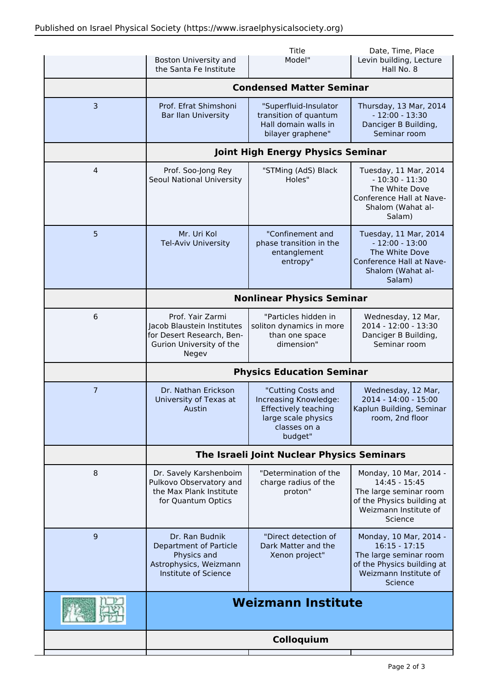|                | Boston University and                                                                                            | Title<br>Model"                                                                                                       | Date, Time, Place<br>Levin building, Lecture                                                                                          |  |
|----------------|------------------------------------------------------------------------------------------------------------------|-----------------------------------------------------------------------------------------------------------------------|---------------------------------------------------------------------------------------------------------------------------------------|--|
|                | the Santa Fe Institute                                                                                           |                                                                                                                       | Hall No. 8                                                                                                                            |  |
|                | <b>Condensed Matter Seminar</b>                                                                                  |                                                                                                                       |                                                                                                                                       |  |
| 3              | Prof. Efrat Shimshoni<br><b>Bar Ilan University</b>                                                              | "Superfluid-Insulator<br>transition of quantum<br>Hall domain walls in<br>bilayer graphene"                           | Thursday, 13 Mar, 2014<br>$-12:00 - 13:30$<br>Danciger B Building,<br>Seminar room                                                    |  |
|                | <b>Joint High Energy Physics Seminar</b>                                                                         |                                                                                                                       |                                                                                                                                       |  |
| 4              | Prof. Soo-Jong Rey<br>Seoul National University                                                                  | "STMing (AdS) Black<br>Holes"                                                                                         | Tuesday, 11 Mar, 2014<br>$-10:30 - 11:30$<br>The White Dove<br>Conference Hall at Nave-<br>Shalom (Wahat al-<br>Salam)                |  |
| 5              | Mr. Uri Kol<br><b>Tel-Aviv University</b>                                                                        | "Confinement and<br>phase transition in the<br>entanglement<br>entropy"                                               | Tuesday, 11 Mar, 2014<br>$-12:00 - 13:00$<br>The White Dove<br>Conference Hall at Nave-<br>Shalom (Wahat al-<br>Salam)                |  |
|                | <b>Nonlinear Physics Seminar</b>                                                                                 |                                                                                                                       |                                                                                                                                       |  |
| 6              | Prof. Yair Zarmi<br>Jacob Blaustein Institutes<br>for Desert Research, Ben-<br>Gurion University of the<br>Negev | "Particles hidden in<br>soliton dynamics in more<br>than one space<br>dimension"                                      | Wednesday, 12 Mar,<br>2014 - 12:00 - 13:30<br>Danciger B Building,<br>Seminar room                                                    |  |
|                | <b>Physics Education Seminar</b>                                                                                 |                                                                                                                       |                                                                                                                                       |  |
| $\overline{7}$ | Dr. Nathan Erickson<br>University of Texas at<br>Austin                                                          | "Cutting Costs and<br>Increasing Knowledge:<br>Effectively teaching<br>large scale physics<br>classes on a<br>budget" | Wednesday, 12 Mar,<br>2014 - 14:00 - 15:00<br>Kaplun Building, Seminar<br>room, 2nd floor                                             |  |
|                | The Israeli Joint Nuclear Physics Seminars                                                                       |                                                                                                                       |                                                                                                                                       |  |
| 8              | Dr. Savely Karshenboim<br>Pulkovo Observatory and<br>the Max Plank Institute<br>for Quantum Optics               | "Determination of the<br>charge radius of the<br>proton"                                                              | Monday, 10 Mar, 2014 -<br>$14:45 - 15:45$<br>The large seminar room<br>of the Physics building at<br>Weizmann Institute of<br>Science |  |
| $\overline{9}$ | Dr. Ran Budnik<br><b>Department of Particle</b><br>Physics and<br>Astrophysics, Weizmann<br>Institute of Science | "Direct detection of<br>Dark Matter and the<br>Xenon project"                                                         | Monday, 10 Mar, 2014 -<br>$16:15 - 17:15$<br>The large seminar room<br>of the Physics building at<br>Weizmann Institute of<br>Science |  |
|                | <b>Weizmann Institute</b>                                                                                        |                                                                                                                       |                                                                                                                                       |  |
|                | Colloquium                                                                                                       |                                                                                                                       |                                                                                                                                       |  |
|                |                                                                                                                  |                                                                                                                       |                                                                                                                                       |  |